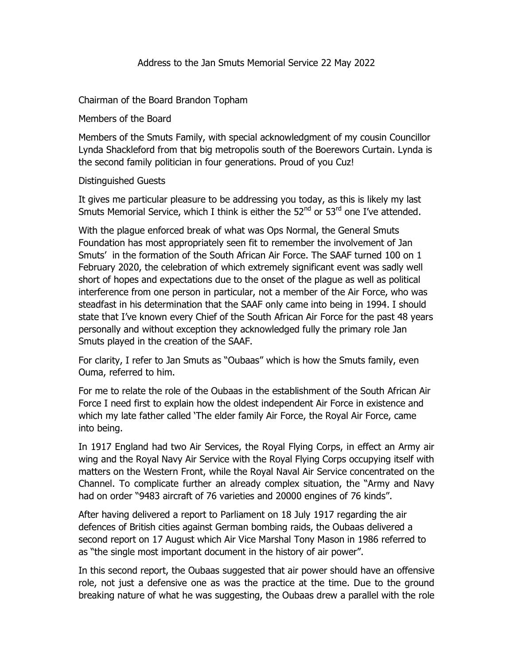Chairman of the Board Brandon Topham

Members of the Board

Members of the Smuts Family, with special acknowledgment of my cousin Councillor Lynda Shackleford from that big metropolis south of the Boerewors Curtain. Lynda is the second family politician in four generations. Proud of you Cuz!

## Distinguished Guests

It gives me particular pleasure to be addressing you today, as this is likely my last Smuts Memorial Service, which I think is either the  $52<sup>nd</sup>$  or  $53<sup>rd</sup>$  one I've attended.

With the plague enforced break of what was Ops Normal, the General Smuts Foundation has most appropriately seen fit to remember the involvement of Jan Smuts' in the formation of the South African Air Force. The SAAF turned 100 on 1 February 2020, the celebration of which extremely significant event was sadly well short of hopes and expectations due to the onset of the plague as well as political interference from one person in particular, not a member of the Air Force, who was steadfast in his determination that the SAAF only came into being in 1994. I should state that I've known every Chief of the South African Air Force for the past 48 years personally and without exception they acknowledged fully the primary role Jan Smuts played in the creation of the SAAF.

For clarity, I refer to Jan Smuts as "Oubaas" which is how the Smuts family, even Ouma, referred to him.

For me to relate the role of the Oubaas in the establishment of the South African Air Force I need first to explain how the oldest independent Air Force in existence and which my late father called 'The elder family Air Force, the Royal Air Force, came into being.

In 1917 England had two Air Services, the Royal Flying Corps, in effect an Army air wing and the Royal Navy Air Service with the Royal Flying Corps occupying itself with matters on the Western Front, while the Royal Naval Air Service concentrated on the Channel. To complicate further an already complex situation, the "Army and Navy had on order "9483 aircraft of 76 varieties and 20000 engines of 76 kinds".

After having delivered a report to Parliament on 18 July 1917 regarding the air defences of British cities against German bombing raids, the Oubaas delivered a second report on 17 August which Air Vice Marshal Tony Mason in 1986 referred to as "the single most important document in the history of air power".

In this second report, the Oubaas suggested that air power should have an offensive role, not just a defensive one as was the practice at the time. Due to the ground breaking nature of what he was suggesting, the Oubaas drew a parallel with the role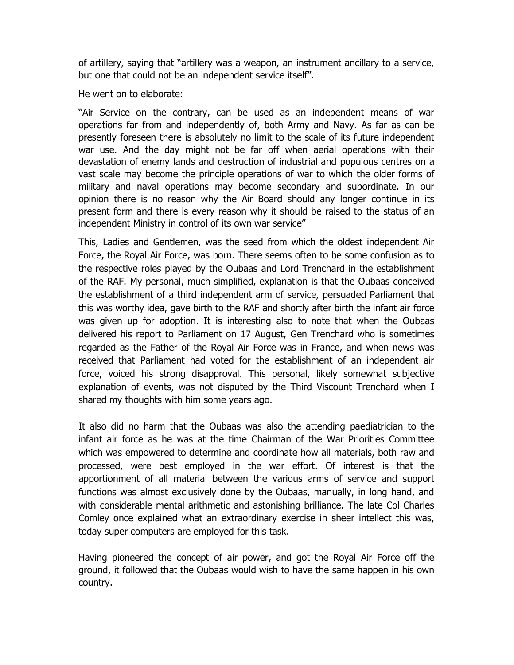of artillery, saying that "artillery was a weapon, an instrument ancillary to a service, but one that could not be an independent service itself".

He went on to elaborate:

"Air Service on the contrary, can be used as an independent means of war operations far from and independently of, both Army and Navy. As far as can be presently foreseen there is absolutely no limit to the scale of its future independent war use. And the day might not be far off when aerial operations with their devastation of enemy lands and destruction of industrial and populous centres on a vast scale may become the principle operations of war to which the older forms of military and naval operations may become secondary and subordinate. In our opinion there is no reason why the Air Board should any longer continue in its present form and there is every reason why it should be raised to the status of an independent Ministry in control of its own war service"

This, Ladies and Gentlemen, was the seed from which the oldest independent Air Force, the Royal Air Force, was born. There seems often to be some confusion as to the respective roles played by the Oubaas and Lord Trenchard in the establishment of the RAF. My personal, much simplified, explanation is that the Oubaas conceived the establishment of a third independent arm of service, persuaded Parliament that this was worthy idea, gave birth to the RAF and shortly after birth the infant air force was given up for adoption. It is interesting also to note that when the Oubaas delivered his report to Parliament on 17 August, Gen Trenchard who is sometimes regarded as the Father of the Royal Air Force was in France, and when news was received that Parliament had voted for the establishment of an independent air force, voiced his strong disapproval. This personal, likely somewhat subjective explanation of events, was not disputed by the Third Viscount Trenchard when I shared my thoughts with him some years ago.

It also did no harm that the Oubaas was also the attending paediatrician to the infant air force as he was at the time Chairman of the War Priorities Committee which was empowered to determine and coordinate how all materials, both raw and processed, were best employed in the war effort. Of interest is that the apportionment of all material between the various arms of service and support functions was almost exclusively done by the Oubaas, manually, in long hand, and with considerable mental arithmetic and astonishing brilliance. The late Col Charles Comley once explained what an extraordinary exercise in sheer intellect this was, today super computers are employed for this task.

Having pioneered the concept of air power, and got the Royal Air Force off the ground, it followed that the Oubaas would wish to have the same happen in his own country.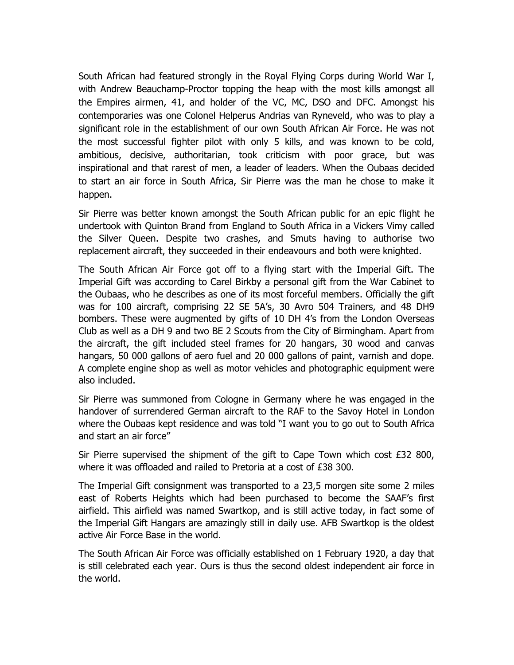South African had featured strongly in the Royal Flying Corps during World War I, with Andrew Beauchamp-Proctor topping the heap with the most kills amongst all the Empires airmen, 41, and holder of the VC, MC, DSO and DFC. Amongst his contemporaries was one Colonel Helperus Andrias van Ryneveld, who was to play a significant role in the establishment of our own South African Air Force. He was not the most successful fighter pilot with only 5 kills, and was known to be cold, ambitious, decisive, authoritarian, took criticism with poor grace, but was inspirational and that rarest of men, a leader of leaders. When the Oubaas decided to start an air force in South Africa, Sir Pierre was the man he chose to make it happen.

Sir Pierre was better known amongst the South African public for an epic flight he undertook with Quinton Brand from England to South Africa in a Vickers Vimy called the Silver Queen. Despite two crashes, and Smuts having to authorise two replacement aircraft, they succeeded in their endeavours and both were knighted.

The South African Air Force got off to a flying start with the Imperial Gift. The Imperial Gift was according to Carel Birkby a personal gift from the War Cabinet to the Oubaas, who he describes as one of its most forceful members. Officially the gift was for 100 aircraft, comprising 22 SE 5A's, 30 Avro 504 Trainers, and 48 DH9 bombers. These were augmented by gifts of 10 DH 4's from the London Overseas Club as well as a DH 9 and two BE 2 Scouts from the City of Birmingham. Apart from the aircraft, the gift included steel frames for 20 hangars, 30 wood and canvas hangars, 50 000 gallons of aero fuel and 20 000 gallons of paint, varnish and dope. A complete engine shop as well as motor vehicles and photographic equipment were also included.

Sir Pierre was summoned from Cologne in Germany where he was engaged in the handover of surrendered German aircraft to the RAF to the Savoy Hotel in London where the Oubaas kept residence and was told "I want you to go out to South Africa and start an air force"

Sir Pierre supervised the shipment of the gift to Cape Town which cost  $£32800$ , where it was offloaded and railed to Pretoria at a cost of £38 300.

The Imperial Gift consignment was transported to a 23,5 morgen site some 2 miles east of Roberts Heights which had been purchased to become the SAAF's first airfield. This airfield was named Swartkop, and is still active today, in fact some of the Imperial Gift Hangars are amazingly still in daily use. AFB Swartkop is the oldest active Air Force Base in the world.

The South African Air Force was officially established on 1 February 1920, a day that is still celebrated each year. Ours is thus the second oldest independent air force in the world.